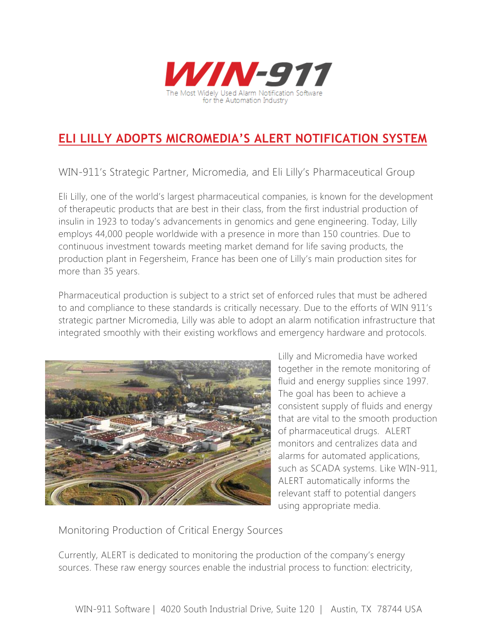

## **ELI LILLY ADOPTS MIC[ROMEDIA'S ALERT NOTI](http://www.win911.com/eli-lilly-adopts-micromedias-alert-notification-system/)FICATION SYSTEM**

WIN-911's Strategic Partner, Micromedia, and Eli Lilly's Pharmaceutical Group

Eli Lilly, one of the world's largest pharmaceutical companies, is known for the development of therapeutic products that are best in their class, from the first industrial production of insulin in 1923 to today's advancements in genomics and gene engineering. Today, Lilly employs 44,000 people worldwide with a presence in more than 150 countries. Due to continuous investment towards meeting market demand for life saving products, the production plant in Fegersheim, France has been one of Lilly's main production sites for more than 35 years.

Pharmaceutical production is subject to a strict set of enforced rules that must be adhered to and compliance to these standards is critically necessary. Due to the efforts of WIN 911's strategic partner Micromedia, Lilly was able to adopt an alarm notification infrastructure that integrated smoothly with their existing workflows and emergency hardware and protocols.



Lilly and Micromedia have worked together in the remote monitoring of fluid and energy supplies since 1997. The goal has been to achieve a consistent supply of fluids and energy that are vital to the smooth production of pharmaceutical drugs. ALERT monitors and centralizes data and alarms for automated applications, such as SCADA systems. Like WIN-911, ALERT automatically informs the relevant staff to potential dangers using appropriate media.

Monitoring Production of Critical Energy Sources

Currently, ALERT is dedicated to monitoring the production of the company's energy sources. These raw energy sources enable the industrial process to function: electricity,